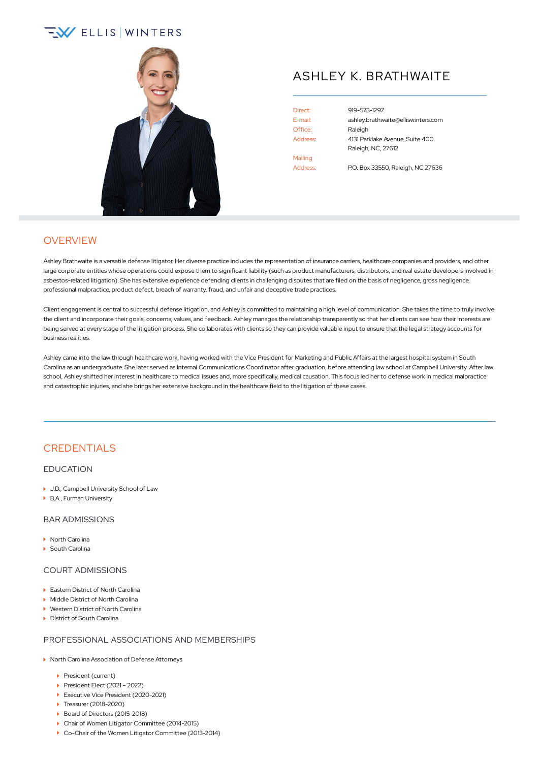# **EV ELLIS WINTERS**



## ASHLEY K. BRATHWAITE

Office: Raleigh Mailing

Direct: [919-573-1297](tel:+1-919-573-1297) E-mail: [ashley.brathwaite@elliswinters.com](mailto:ashley.brathwaite@elliswinters.com) Address: 4131 Parklake Avenue, Suite 400 Raleigh, NC, 27612

Address: P.O. Box 33550, Raleigh, NC 27636

## **OVERVIEW**

Ashley Brathwaite is a versatile defense litigator. Her diverse practice includes the representation of insurance carriers, healthcare companies and providers, and other large corporate entities whose operations could expose them to significant liability (such as product manufacturers, distributors, and real estate developers involved in asbestos-related litigation). She has extensive experience defending clients in challenging disputes that are filed on the basis of negligence, gross negligence, professional malpractice, product defect, breach of warranty, fraud, and unfair and deceptive trade practices.

Client engagement is central to successful defense litigation, and Ashley is committed to maintaining a high level of communication. She takes the time to truly involve the client and incorporate their goals, concerns, values, and feedback. Ashley manages the relationship transparently so that her clients can see how their interests are being served at every stage of the litigation process. She collaborates with clients so they can provide valuable input to ensure that the legal strategy accounts for business realities.

Ashley came into the law through healthcare work, having worked with the Vice President for Marketing and Public Affairs at the largest hospital system in South Carolina as an undergraduate. She later served as Internal Communications Coordinator after graduation, before attending law school at Campbell University. After law school, Ashley shifted her interest in healthcare to medical issues and, more specifically, medical causation. This focus led her to defense work in medical malpractice and catastrophic injuries, and she brings her extensive background in the healthcare field to the litigation of these cases.

## **CREDENTIALS**

#### EDUCATION

- ▶ J.D., Campbell University School of Law
- ▶ B.A., Furman University

#### BAR ADMISSIONS

- ▶ North Carolina
- South Carolina

#### COURT ADMISSIONS

- ▶ Eastern District of North Carolina
- Middle District of North Carolina
- ▶ Western District of North Carolina
- District of South Carolina

#### PROFESSIONAL ASSOCIATIONS AND MEMBERSHIPS

- ▶ North Carolina Association of Defense Attorneys
	- President (current)
	- President Elect (2021 2022)
	- ▶ Executive Vice President (2020-2021)
	- ▶ Treasurer (2018-2020)
	- Board of Directors (2015-2018)
	- Chair of Women Litigator Committee (2014-2015)
	- ▶ Co-Chair of the Women Litigator Committee (2013-2014)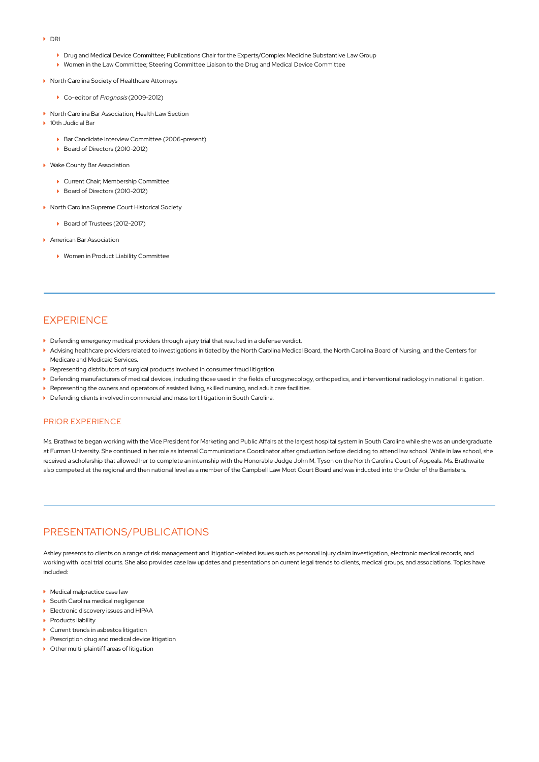- DRI
	- Drug and Medical Device Committee; Publications Chair for the Experts/Complex Medicine Substantive Law Group
	- Women in the Law Committee; Steering Committee Liaison to the Drug and Medical Device Committee
- ▶ North Carolina Society of Healthcare Attorneys
	- ▶ Co-editor of Prognosis (2009-2012)
- ▶ North Carolina Bar Association, Health Law Section
- ▶ 10th Judicial Bar
	- ▶ Bar Candidate Interview Committee (2006-present)
	- Board of Directors (2010-2012)
- ▶ Wake County Bar Association
	- Current Chair; Membership Committee
	- Board of Directors (2010-2012)
- ▶ North Carolina Supreme Court Historical Society
	- ▶ Board of Trustees (2012-2017)
- **American Bar Association** 
	- ▶ Women in Product Liability Committee

## **EXPERIENCE**

- **Defending emergency medical providers through a jury trial that resulted in a defense verdict.**
- Advising healthcare providers related to investigations initiated by the North Carolina Medical Board, the North Carolina Board of Nursing, and the Centers for Medicare and Medicaid Services.
- Representing distributors of surgical products involved in consumer fraud litigation.
- Defending manufacturers of medical devices, including those used in the fields of urogynecology, orthopedics, and interventional radiology in national litigation.
- **P** Representing the owners and operators of assisted living, skilled nursing, and adult care facilities.
- Defending clients involved in commercial and mass tort litigation in South Carolina.

#### PRIOR EXPERIENCE

Ms. Brathwaite began working with the Vice President for Marketing and Public Affairs at the largest hospital system in South Carolina while she was an undergraduate at Furman University. She continued in her role as Internal Communications Coordinator after graduation before deciding to attend law school. While in law school, she received a scholarship that allowed her to complete an internship with the Honorable Judge John M. Tyson on the North Carolina Court of Appeals. Ms. Brathwaite also competed at the regional and then national level as a member of the Campbell Law Moot Court Board and was inducted into the Order of the Barristers.

## PRESENTATIONS/PUBLICATIONS

Ashley presents to clients on a range of risk management and litigation-related issues such as personal injury claim investigation, electronic medical records, and working with local trial courts. She also provides case law updates and presentations on current legal trends to clients, medical groups, and associations. Topics have included:

- Medical malpractice case law
- ▶ South Carolina medical negligence
- Electronic discovery issues and HIPAA
- ▶ Products liability
- ▶ Current trends in asbestos litigation
- **Prescription drug and medical device litigation**
- Other multi-plaintiff areas of litigation